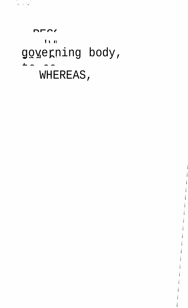## governing body,

RESOLUTION APPROVING ZONING ZONING PETITION APPROVING ZONING PETITION APPROVING 2012 APPROVING 2013 APPROVING <br>References

j

 $\mathbf{I}$ 

j

j

j

j

j

j

j

j

 $\mathbf{I}$ 

 $\mathbf{I}$ 

 $\mathbf{I}$ 

 $\mathsf{I}$ 

j

j

j

 $\mathbf{I}$ 

 $\mathbf{I}$ 

## WHEREAS,

 $-\frac{1}{2}$